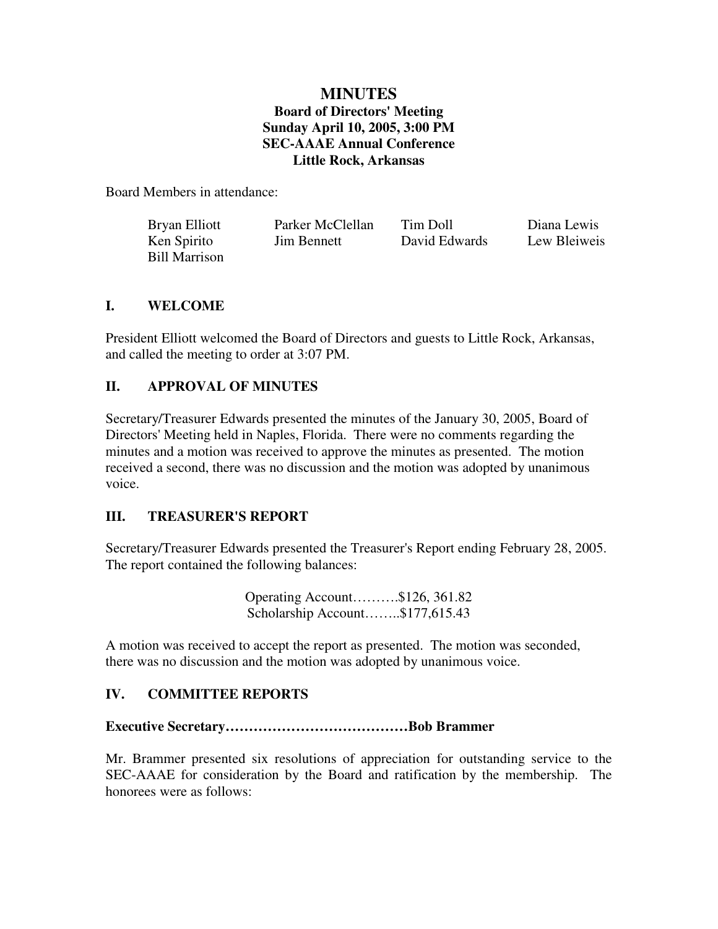## **MINUTES Board of Directors' Meeting Sunday April 10, 2005, 3:00 PM SEC-AAAE Annual Conference Little Rock, Arkansas**

Board Members in attendance:

| Bryan Elliott | Parker McClellan   | Tim Doll      | Diana Lewis  |
|---------------|--------------------|---------------|--------------|
| Ken Spirito   | <b>Jim Bennett</b> | David Edwards | Lew Bleiweis |
| Bill Marrison |                    |               |              |

### **I. WELCOME**

President Elliott welcomed the Board of Directors and guests to Little Rock, Arkansas, and called the meeting to order at 3:07 PM.

## **II. APPROVAL OF MINUTES**

Secretary/Treasurer Edwards presented the minutes of the January 30, 2005, Board of Directors' Meeting held in Naples, Florida. There were no comments regarding the minutes and a motion was received to approve the minutes as presented. The motion received a second, there was no discussion and the motion was adopted by unanimous voice.

## **III. TREASURER'S REPORT**

Secretary/Treasurer Edwards presented the Treasurer's Report ending February 28, 2005. The report contained the following balances:

> Operating Account……….\$126, 361.82 Scholarship Account……..\$177,615.43

A motion was received to accept the report as presented. The motion was seconded, there was no discussion and the motion was adopted by unanimous voice.

### **IV. COMMITTEE REPORTS**

### **Executive Secretary…………………………………Bob Brammer**

Mr. Brammer presented six resolutions of appreciation for outstanding service to the SEC-AAAE for consideration by the Board and ratification by the membership. The honorees were as follows: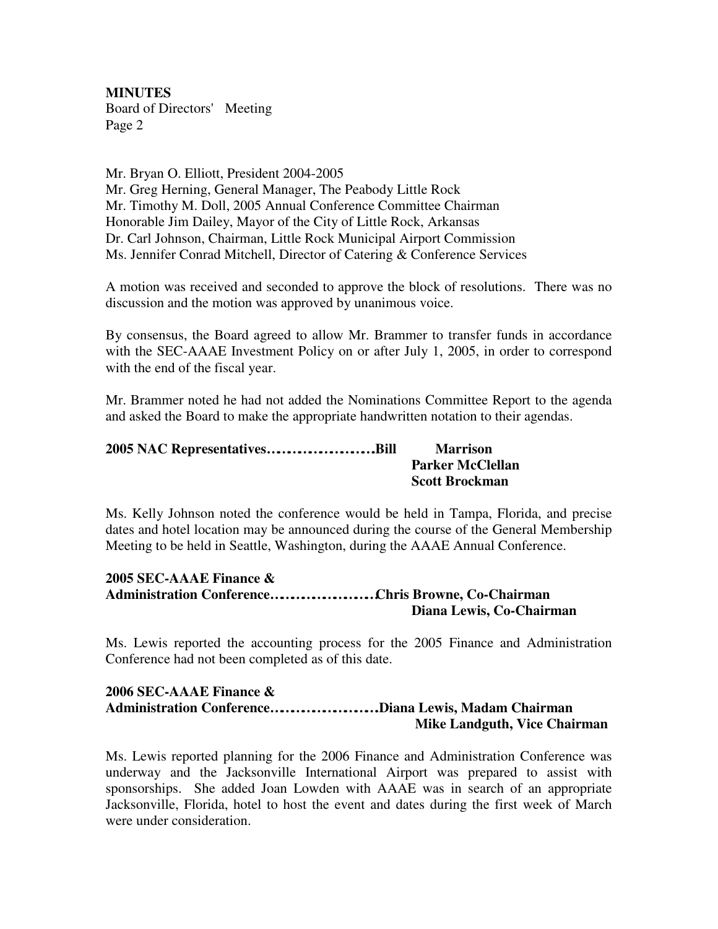Mr. Bryan O. Elliott, President 2004-2005 Mr. Greg Herning, General Manager, The Peabody Little Rock Mr. Timothy M. Doll, 2005 Annual Conference Committee Chairman Honorable Jim Dailey, Mayor of the City of Little Rock, Arkansas Dr. Carl Johnson, Chairman, Little Rock Municipal Airport Commission Ms. Jennifer Conrad Mitchell, Director of Catering & Conference Services

A motion was received and seconded to approve the block of resolutions. There was no discussion and the motion was approved by unanimous voice.

By consensus, the Board agreed to allow Mr. Brammer to transfer funds in accordance with the SEC-AAAE Investment Policy on or after July 1, 2005, in order to correspond with the end of the fiscal year.

Mr. Brammer noted he had not added the Nominations Committee Report to the agenda and asked the Board to make the appropriate handwritten notation to their agendas.

| 2005 NAC RepresentativesBill | Marrison                |
|------------------------------|-------------------------|
|                              | <b>Parker McClellan</b> |
|                              | <b>Scott Brockman</b>   |

Ms. Kelly Johnson noted the conference would be held in Tampa, Florida, and precise dates and hotel location may be announced during the course of the General Membership Meeting to be held in Seattle, Washington, during the AAAE Annual Conference.

#### **2005 SEC-AAAE Finance & Administration Conference…………………………Chris Browne, Co-Chairman Diana Lewis, Co-Chairman**

Ms. Lewis reported the accounting process for the 2005 Finance and Administration Conference had not been completed as of this date.

#### **2006 SEC-AAAE Finance & Administration Conference………………………….Diana Lewis, Madam Chairman Mike Landguth, Vice Chairman**

Ms. Lewis reported planning for the 2006 Finance and Administration Conference was underway and the Jacksonville International Airport was prepared to assist with sponsorships. She added Joan Lowden with AAAE was in search of an appropriate Jacksonville, Florida, hotel to host the event and dates during the first week of March were under consideration.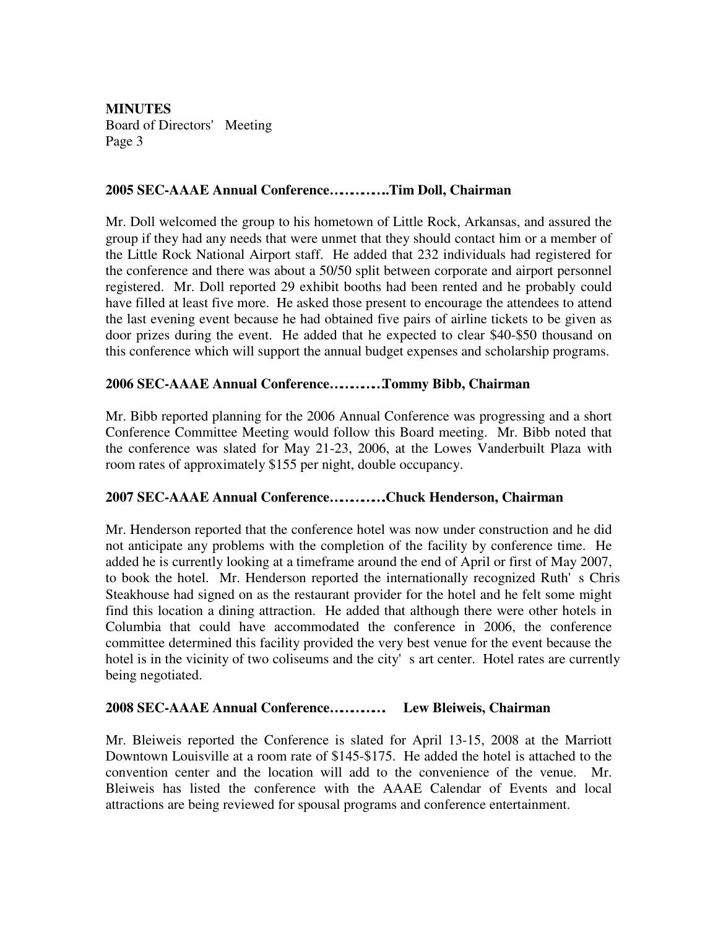### **2005 SEC-AAAE Annual Conference……………..Tim Doll, Chairman**

Mr. Doll welcomed the group to his hometown of Little Rock, Arkansas, and assured the group if they had any needs that were unmet that they should contact him or a member of the Little Rock National Airport staff. He added that 232 individuals had registered for the conference and there was about a 50/50 split between corporate and airport personnel registered. Mr. Doll reported 29 exhibit booths had been rented and he probably could have filled at least five more. He asked those present to encourage the attendees to attend the last evening event because he had obtained five pairs of airline tickets to be given as door prizes during the event. He added that he expected to clear \$40-\$50 thousand on this conference which will support the annual budget expenses and scholarship programs.

### **2006 SEC-AAAE Annual Conference……………Tommy Bibb, Chairman**

Mr. Bibb reported planning for the 2006 Annual Conference was progressing and a short Conference Committee Meeting would follow this Board meeting. Mr. Bibb noted that the conference was slated for May 21-23, 2006, at the Lowes Vanderbuilt Plaza with room rates of approximately \$155 per night, double occupancy.

### **2007 SEC-AAAE Annual Conference…………….Chuck Henderson, Chairman**

Mr. Henderson reported that the conference hotel was now under construction and he did not anticipate any problems with the completion of the facility by conference time. He added he is currently looking at a timeframe around the end of April or first of May 2007, to book the hotel. Mr. Henderson reported the internationally recognized Ruth's Chris Steakhouse had signed on as the restaurant provider for the hotel and he felt some might find this location a dining attraction. He added that although there were other hotels in Columbia that could have accommodated the conference in 2006, the conference committee determined this facility provided the very best venue for the event because the hotel is in the vicinity of two coliseums and the city's art center. Hotel rates are currently being negotiated.

### **2008 SEC-AAAE Annual Conference……………. Lew Bleiweis, Chairman**

Mr. Bleiweis reported the Conference is slated for April 13-15, 2008 at the Marriott Downtown Louisville at a room rate of \$145-\$175. He added the hotel is attached to the convention center and the location will add to the convenience of the venue. Mr. Bleiweis has listed the conference with the AAAE Calendar of Events and local attractions are being reviewed for spousal programs and conference entertainment.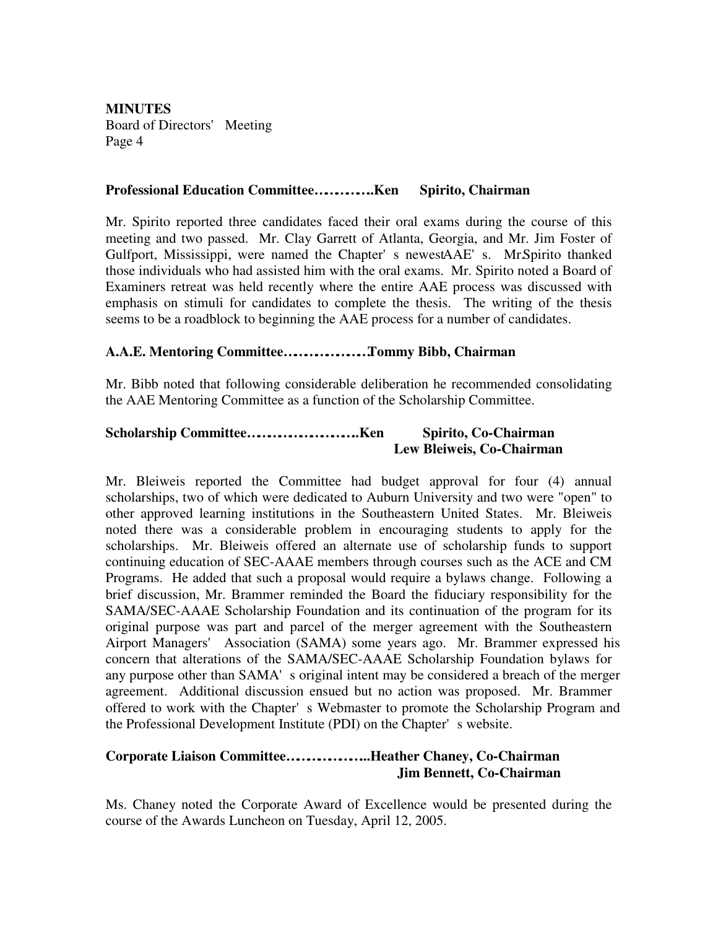#### **Professional Education Committee……………..Ken Spirito, Chairman**

Mr. Spirito reported three candidates faced their oral exams during the course of this meeting and two passed. Mr. Clay Garrett of Atlanta, Georgia, and Mr. Jim Foster of Gulfport, Mississippi, were named the Chapter's newest AAE's. MrSpirito thanked those individuals who had assisted him with the oral exams. Mr. Spirito noted a Board of Examiners retreat was held recently where the entire AAE process was discussed with emphasis on stimuli for candidates to complete the thesis. The writing of the thesis seems to be a roadblock to beginning the AAE process for a number of candidates.

#### **A.A.E. Mentoring Committee……………………Tommy Bibb, Chairman**

Mr. Bibb noted that following considerable deliberation he recommended consolidating the AAE Mentoring Committee as a function of the Scholarship Committee.

## **Scholarship Committee…………………………..Ken Spirito, Co-Chairman Lew Bleiweis, Co-Chairman**

Mr. Bleiweis reported the Committee had budget approval for four (4) annual scholarships, two of which were dedicated to Auburn University and two were "open" to other approved learning institutions in the Southeastern United States. Mr. Bleiweis noted there was a considerable problem in encouraging students to apply for the scholarships. Mr. Bleiweis offered an alternate use of scholarship funds to support continuing education of SEC-AAAE members through courses such as the ACE and CM Programs. He added that such a proposal would require a bylaws change. Following a brief discussion, Mr. Brammer reminded the Board the fiduciary responsibility for the SAMA/SEC-AAAE Scholarship Foundation and its continuation of the program for its original purpose was part and parcel of the merger agreement with the Southeastern Airport Managers' Association (SAMA) some years ago. Mr. Brammer expressed his concern that alterations of the SAMA/SEC-AAAE Scholarship Foundation bylaws for any purpose other than SAMA's original intent may be considered a breach of the merger agreement. Additional discussion ensued but no action was proposed. Mr. Brammer offered to work with the Chapter's Webmaster to promote the Scholarship Program and the Professional Development Institute (PDI) on the Chapter's website.

# **Corporate Liaison Committee…………………...Heather Chaney, Co-Chairman Jim Bennett, Co-Chairman**

Ms. Chaney noted the Corporate Award of Excellence would be presented during the course of the Awards Luncheon on Tuesday, April 12, 2005.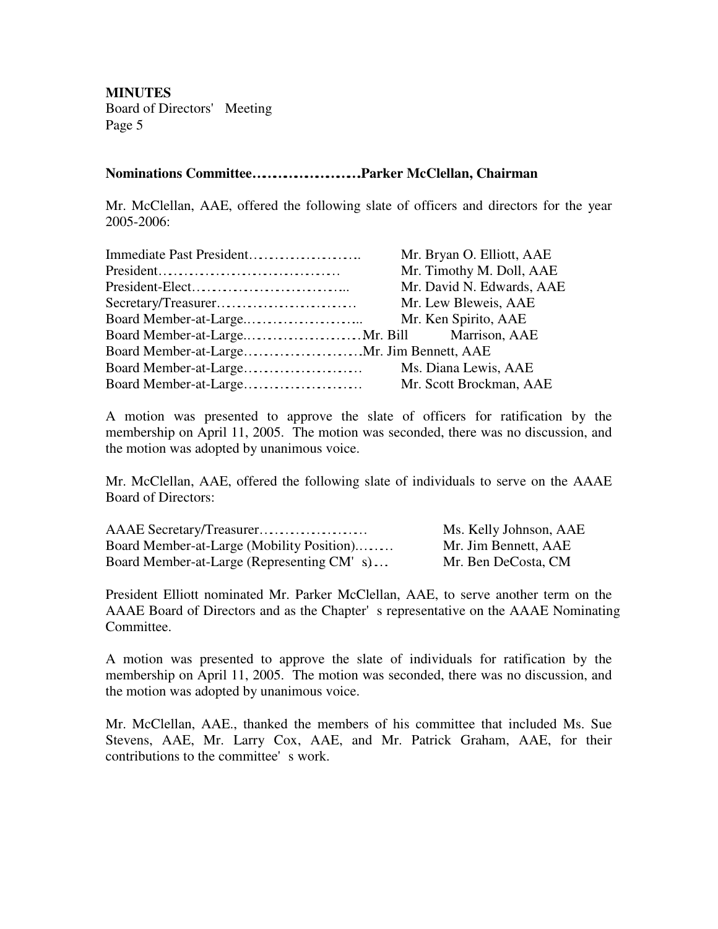#### **Nominations Committee………………………….Parker McClellan, Chairman**

Mr. McClellan, AAE, offered the following slate of officers and directors for the year 2005-2006:

|  | Mr. Bryan O. Elliott, AAE |
|--|---------------------------|
|  | Mr. Timothy M. Doll, AAE  |
|  | Mr. David N. Edwards, AAE |
|  | Mr. Lew Bleweis, AAE      |
|  | Mr. Ken Spirito, AAE      |
|  |                           |
|  |                           |
|  | Ms. Diana Lewis, AAE      |
|  | Mr. Scott Brockman, AAE   |
|  |                           |

A motion was presented to approve the slate of officers for ratification by the membership on April 11, 2005. The motion was seconded, there was no discussion, and the motion was adopted by unanimous voice.

Mr. McClellan, AAE, offered the following slate of individuals to serve on the AAAE Board of Directors:

| AAAE Secretary/Treasurer                  | Ms. Kelly Johnson, AAE |
|-------------------------------------------|------------------------|
| Board Member-at-Large (Mobility Position) | Mr. Jim Bennett, AAE   |
| Board Member-at-Large (Representing CM's) | Mr. Ben DeCosta, CM    |

President Elliott nominated Mr. Parker McClellan, AAE, to serve another term on the AAAE Board of Directors and as the Chapter's representative on the AAAE Nominating Committee.

A motion was presented to approve the slate of individuals for ratification by the membership on April 11, 2005. The motion was seconded, there was no discussion, and the motion was adopted by unanimous voice.

Mr. McClellan, AAE., thanked the members of his committee that included Ms. Sue Stevens, AAE, Mr. Larry Cox, AAE, and Mr. Patrick Graham, AAE, for their contributions to the committee's work.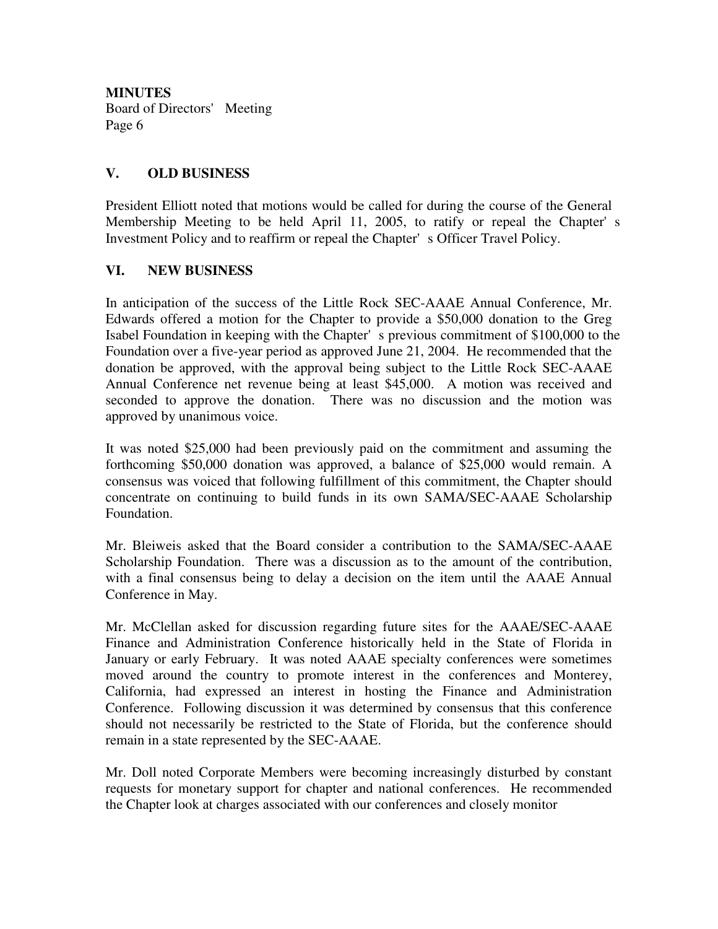## **V. OLD BUSINESS**

President Elliott noted that motions would be called for during the course of the General Membership Meeting to be held April 11, 2005, to ratify or repeal the Chapter's Investment Policy and to reaffirm or repeal the Chapter's Officer Travel Policy.

## **VI. NEW BUSINESS**

In anticipation of the success of the Little Rock SEC-AAAE Annual Conference, Mr. Edwards offered a motion for the Chapter to provide a \$50,000 donation to the Greg Isabel Foundation in keeping with the Chapter's previous commitment of \$100,000 to the Foundation over a five-year period as approved June 21, 2004. He recommended that the donation be approved, with the approval being subject to the Little Rock SEC-AAAE Annual Conference net revenue being at least \$45,000. A motion was received and seconded to approve the donation. There was no discussion and the motion was approved by unanimous voice.

It was noted \$25,000 had been previously paid on the commitment and assuming the forthcoming \$50,000 donation was approved, a balance of \$25,000 would remain. A consensus was voiced that following fulfillment of this commitment, the Chapter should concentrate on continuing to build funds in its own SAMA/SEC-AAAE Scholarship Foundation.

Mr. Bleiweis asked that the Board consider a contribution to the SAMA/SEC-AAAE Scholarship Foundation. There was a discussion as to the amount of the contribution, with a final consensus being to delay a decision on the item until the AAAE Annual Conference in May.

Mr. McClellan asked for discussion regarding future sites for the AAAE/SEC-AAAE Finance and Administration Conference historically held in the State of Florida in January or early February. It was noted AAAE specialty conferences were sometimes moved around the country to promote interest in the conferences and Monterey, California, had expressed an interest in hosting the Finance and Administration Conference. Following discussion it was determined by consensus that this conference should not necessarily be restricted to the State of Florida, but the conference should remain in a state represented by the SEC-AAAE.

Mr. Doll noted Corporate Members were becoming increasingly disturbed by constant requests for monetary support for chapter and national conferences. He recommended the Chapter look at charges associated with our conferences and closely monitor